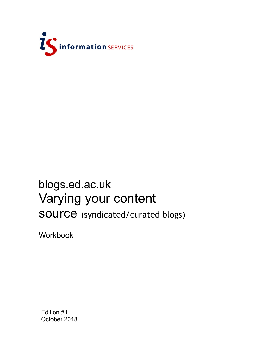

# blogs.ed.ac.uk Varying your content SOUICE (syndicated/curated blogs)

Workbook

Edition #1 October 2018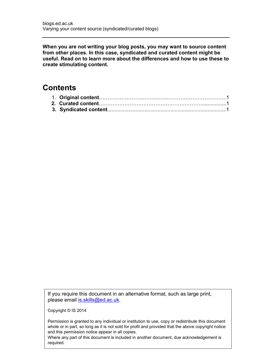**When you are not writing your blog posts, you may want to source content from other places. In this case, syndicated and curated content might be useful. Read on to learn more about the differences and how to use these to create stimulating content.**

#### **Contents**

If you require this document in an alternative format, such as large print, please email [is.skills@ed.ac.uk.](mailto:is.skills@ed.ac.uk)

Copyright © IS 2014

Permission is granted to any individual or institution to use, copy or redistribute this document whole or in part, so long as it is not sold for profit and provided that the above copyright notice and this permission notice appear in all copies.

Where any part of this document is included in another document, due acknowledgement is required.